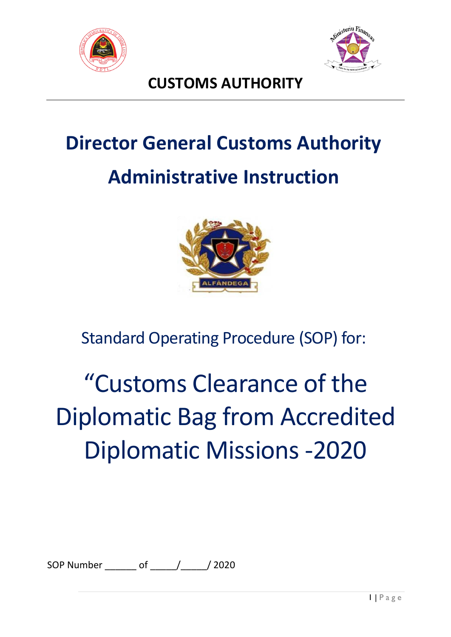



# **CUSTOMS AUTHORITY**

# **Director General Customs Authority Administrative Instruction**



Standard Operating Procedure (SOP) for:

# "Customs Clearance of the Diplomatic Bag from Accredited Diplomatic Missions -2020

SOP Number of / / 2020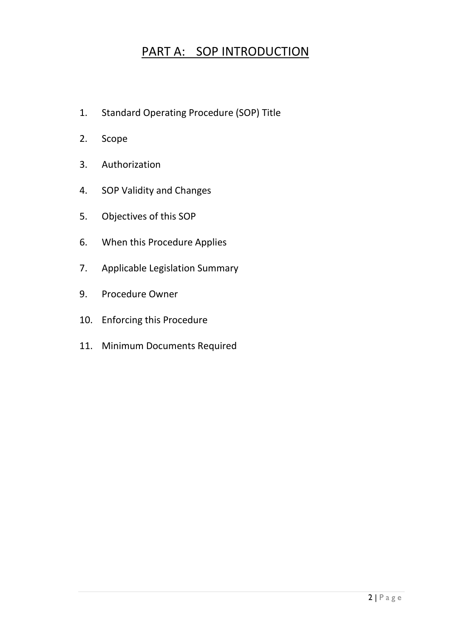# PART A: SOP INTRODUCTION

- 1. Standard Operating Procedure (SOP) Title
- 2. Scope
- 3. Authorization
- 4. SOP Validity and Changes
- 5. Objectives of this SOP
- 6. When this Procedure Applies
- 7. Applicable Legislation Summary
- 9. Procedure Owner
- 10. Enforcing this Procedure
- 11. Minimum Documents Required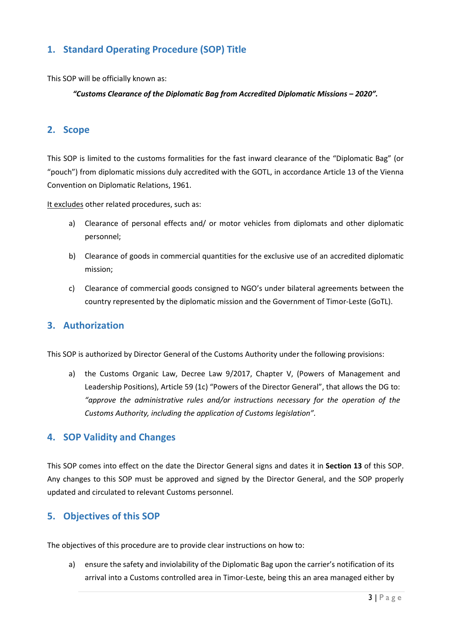# **1. Standard Operating Procedure (SOP) Title**

This SOP will be officially known as:

#### *"Customs Clearance of the Diplomatic Bag from Accredited Diplomatic Missions – 2020".*

# **2. Scope**

This SOP is limited to the customs formalities for the fast inward clearance of the "Diplomatic Bag" (or "pouch") from diplomatic missions duly accredited with the GOTL, in accordance Article 13 of the Vienna Convention on Diplomatic Relations, 1961.

It excludes other related procedures, such as:

- a) Clearance of personal effects and/ or motor vehicles from diplomats and other diplomatic personnel;
- b) Clearance of goods in commercial quantities for the exclusive use of an accredited diplomatic mission;
- c) Clearance of commercial goods consigned to NGO's under bilateral agreements between the country represented by the diplomatic mission and the Government of Timor-Leste (GoTL).

# **3. Authorization**

This SOP is authorized by Director General of the Customs Authority under the following provisions:

a) the Customs Organic Law, Decree Law 9/2017, Chapter V, (Powers of Management and Leadership Positions), Article 59 (1c) "Powers of the Director General", that allows the DG to: *"approve the administrative rules and/or instructions necessary for the operation of the Customs Authority, including the application of Customs legislation".*

## **4. SOP Validity and Changes**

This SOP comes into effect on the date the Director General signs and dates it in **Section 13** of this SOP. Any changes to this SOP must be approved and signed by the Director General, and the SOP properly updated and circulated to relevant Customs personnel.

## **5. Objectives of this SOP**

The objectives of this procedure are to provide clear instructions on how to:

a) ensure the safety and inviolability of the Diplomatic Bag upon the carrier's notification of its arrival into a Customs controlled area in Timor-Leste, being this an area managed either by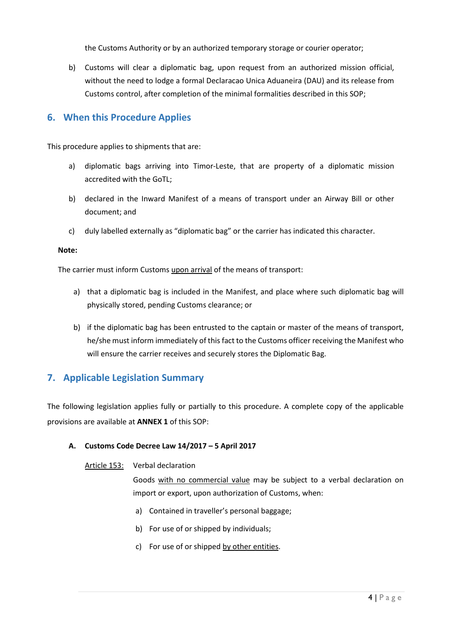the Customs Authority or by an authorized temporary storage or courier operator;

b) Customs will clear a diplomatic bag, upon request from an authorized mission official, without the need to lodge a formal Declaracao Unica Aduaneira (DAU) and its release from Customs control, after completion of the minimal formalities described in this SOP;

## **6. When this Procedure Applies**

This procedure applies to shipments that are:

- a) diplomatic bags arriving into Timor-Leste, that are property of a diplomatic mission accredited with the GoTL;
- b) declared in the Inward Manifest of a means of transport under an Airway Bill or other document; and
- c) duly labelled externally as "diplomatic bag" or the carrier has indicated this character.

#### **Note:**

The carrier must inform Customs upon arrival of the means of transport:

- a) that a diplomatic bag is included in the Manifest, and place where such diplomatic bag will physically stored, pending Customs clearance; or
- b) if the diplomatic bag has been entrusted to the captain or master of the means of transport, he/she must inform immediately of this fact to the Customs officer receiving the Manifest who will ensure the carrier receives and securely stores the Diplomatic Bag.

# **7. Applicable Legislation Summary**

The following legislation applies fully or partially to this procedure. A complete copy of the applicable provisions are available at **ANNEX 1** of this SOP:

#### **A. Customs Code Decree Law 14/2017 – 5 April 2017**

#### Article 153: Verbal declaration

Goods with no commercial value may be subject to a verbal declaration on import or export, upon authorization of Customs, when:

- a) Contained in traveller's personal baggage;
- b) For use of or shipped by individuals;
- c) For use of or shipped by other entities.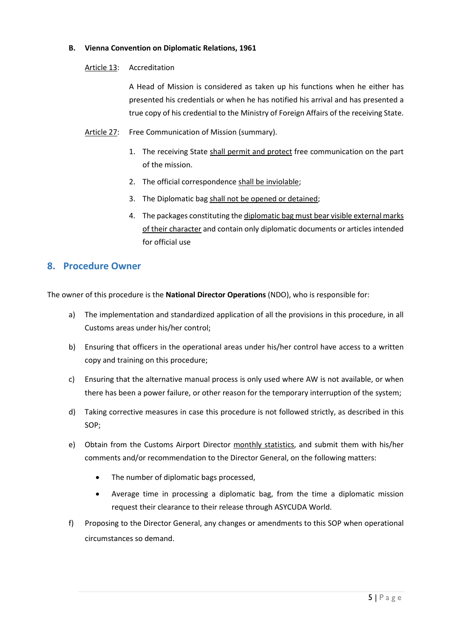#### **B. Vienna Convention on Diplomatic Relations, 1961**

#### Article 13: Accreditation

A Head of Mission is considered as taken up his functions when he either has presented his credentials or when he has notified his arrival and has presented a true copy of his credential to the Ministry of Foreign Affairs of the receiving State.

- Article 27: Free Communication of Mission (summary).
	- 1. The receiving State shall permit and protect free communication on the part of the mission.
	- 2. The official correspondence shall be inviolable;
	- 3. The Diplomatic bag shall not be opened or detained;
	- 4. The packages constituting the diplomatic bag must bear visible external marks of their character and contain only diplomatic documents or articles intended for official use

## **8. Procedure Owner**

The owner of this procedure is the **National Director Operations** (NDO), who is responsible for:

- a) The implementation and standardized application of all the provisions in this procedure, in all Customs areas under his/her control;
- b) Ensuring that officers in the operational areas under his/her control have access to a written copy and training on this procedure;
- c) Ensuring that the alternative manual process is only used where AW is not available, or when there has been a power failure, or other reason for the temporary interruption of the system;
- d) Taking corrective measures in case this procedure is not followed strictly, as described in this SOP;
- e) Obtain from the Customs Airport Director monthly statistics, and submit them with his/her comments and/or recommendation to the Director General, on the following matters:
	- The number of diplomatic bags processed,
	- Average time in processing a diplomatic bag, from the time a diplomatic mission request their clearance to their release through ASYCUDA World.
- f) Proposing to the Director General, any changes or amendments to this SOP when operational circumstances so demand.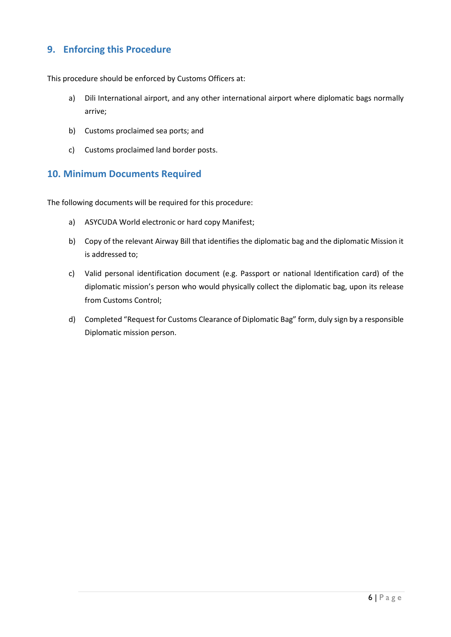# **9. Enforcing this Procedure**

This procedure should be enforced by Customs Officers at:

- a) Dili International airport, and any other international airport where diplomatic bags normally arrive;
- b) Customs proclaimed sea ports; and
- c) Customs proclaimed land border posts.

#### **10. Minimum Documents Required**

The following documents will be required for this procedure:

- a) ASYCUDA World electronic or hard copy Manifest;
- b) Copy of the relevant Airway Bill that identifies the diplomatic bag and the diplomatic Mission it is addressed to;
- c) Valid personal identification document (e.g. Passport or national Identification card) of the diplomatic mission's person who would physically collect the diplomatic bag, upon its release from Customs Control;
- d) Completed "Request for Customs Clearance of Diplomatic Bag" form, duly sign by a responsible Diplomatic mission person.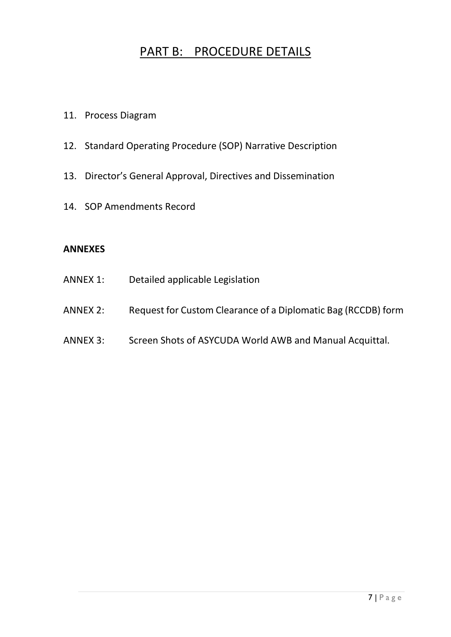# PART B: PROCEDURE DETAILS

- 11. Process Diagram
- 12. Standard Operating Procedure (SOP) Narrative Description
- 13. Director's General Approval, Directives and Dissemination
- 14. SOP Amendments Record

## **ANNEXES**

| ANNEX 1: | Detailed applicable Legislation                               |
|----------|---------------------------------------------------------------|
| ANNEX 2: | Request for Custom Clearance of a Diplomatic Bag (RCCDB) form |
| ANNEX 3: | Screen Shots of ASYCUDA World AWB and Manual Acquittal.       |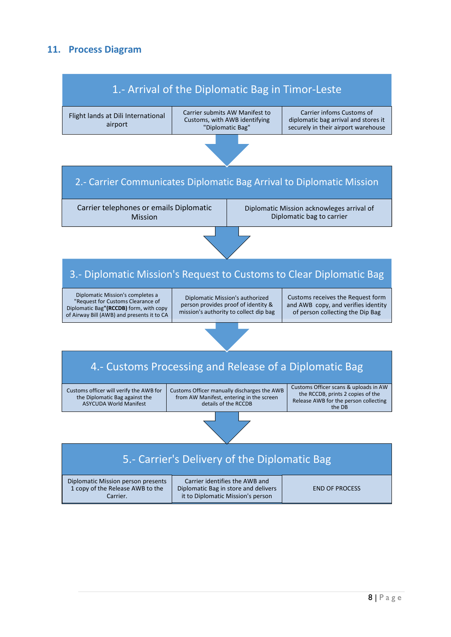# **11. Process Diagram**

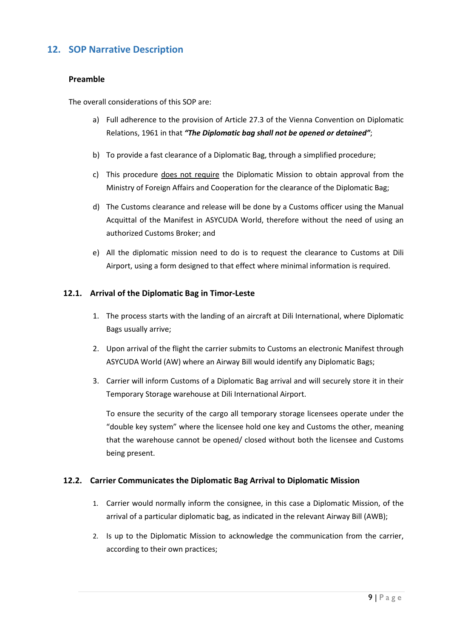# **12. SOP Narrative Description**

#### **Preamble**

The overall considerations of this SOP are:

- a) Full adherence to the provision of Article 27.3 of the Vienna Convention on Diplomatic Relations, 1961 in that *"The Diplomatic bag shall not be opened or detained"*;
- b) To provide a fast clearance of a Diplomatic Bag, through a simplified procedure;
- c) This procedure does not require the Diplomatic Mission to obtain approval from the Ministry of Foreign Affairs and Cooperation for the clearance of the Diplomatic Bag;
- d) The Customs clearance and release will be done by a Customs officer using the Manual Acquittal of the Manifest in ASYCUDA World, therefore without the need of using an authorized Customs Broker; and
- e) All the diplomatic mission need to do is to request the clearance to Customs at Dili Airport, using a form designed to that effect where minimal information is required.

#### **12.1. Arrival of the Diplomatic Bag in Timor-Leste**

- 1. The process starts with the landing of an aircraft at Dili International, where Diplomatic Bags usually arrive;
- 2. Upon arrival of the flight the carrier submits to Customs an electronic Manifest through ASYCUDA World (AW) where an Airway Bill would identify any Diplomatic Bags;
- 3. Carrier will inform Customs of a Diplomatic Bag arrival and will securely store it in their Temporary Storage warehouse at Dili International Airport.

To ensure the security of the cargo all temporary storage licensees operate under the "double key system" where the licensee hold one key and Customs the other, meaning that the warehouse cannot be opened/ closed without both the licensee and Customs being present.

#### **12.2. Carrier Communicates the Diplomatic Bag Arrival to Diplomatic Mission**

- 1. Carrier would normally inform the consignee, in this case a Diplomatic Mission, of the arrival of a particular diplomatic bag, as indicated in the relevant Airway Bill (AWB);
- 2. Is up to the Diplomatic Mission to acknowledge the communication from the carrier, according to their own practices;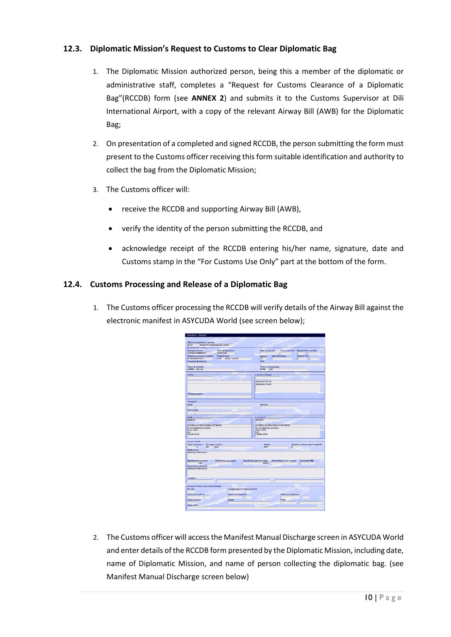#### **12.3. Diplomatic Mission's Request to Customs to Clear Diplomatic Bag**

- 1. The Diplomatic Mission authorized person, being this a member of the diplomatic or administrative staff, completes a "Request for Customs Clearance of a Diplomatic Bag"(RCCDB) form (see **ANNEX 2**) and submits it to the Customs Supervisor at Dili International Airport, with a copy of the relevant Airway Bill (AWB) for the Diplomatic Bag;
- 2. On presentation of a completed and signed RCCDB, the person submitting the form must present to the Customs officer receiving this form suitable identification and authority to collect the bag from the Diplomatic Mission;
- 3. The Customs officer will:
	- receive the RCCDB and supporting Airway Bill (AWB),
	- verify the identity of the person submitting the RCCDB, and
	- acknowledge receipt of the RCCDB entering his/her name, signature, date and Customs stamp in the "For Customs Use Only" part at the bottom of the form.

#### **12.4. Customs Processing and Release of a Diplomatic Bag**

1. The Customs officer processing the RCCDB will verify details of the Airway Bill against the electronic manifest in ASYCUDA World (see screen below);

| Office of departure / arrival                                                                                                                                                                                                                                   |                                    |                                                                          |
|-----------------------------------------------------------------------------------------------------------------------------------------------------------------------------------------------------------------------------------------------------------------|------------------------------------|--------------------------------------------------------------------------|
| DIBO2<br>Almort Prosident Nicolao Lobato                                                                                                                                                                                                                        |                                    |                                                                          |
| General Information-                                                                                                                                                                                                                                            |                                    |                                                                          |
| Voyage number                                                                                                                                                                                                                                                   | <b>Date of departure</b>           | Date of arrival<br>Time of arrival<br><b>Registration number</b>         |
| VOYAGE NUMBER 01                                                                                                                                                                                                                                                | 17/01/2020                         | $\mathcal{L}$                                                            |
| <b>Waybill reference number</b>                                                                                                                                                                                                                                 | <b>Waybill type</b>                | <b>Last discharge</b><br><b>Waybill line</b><br>Nature                   |
| <b>BIL REFERENCE 01</b>                                                                                                                                                                                                                                         | <b>HSB</b><br><b>House</b> Sea Bit | 23<br>п                                                                  |
| Previous document                                                                                                                                                                                                                                               |                                    | <b>UCR</b>                                                               |
|                                                                                                                                                                                                                                                                 |                                    |                                                                          |
| <b>Place of loading</b>                                                                                                                                                                                                                                         |                                    | <b>Place of unloading</b>                                                |
| <b>AUDRW</b> Darwin                                                                                                                                                                                                                                             |                                    | TLDE.<br><b>but</b>                                                      |
|                                                                                                                                                                                                                                                                 |                                    |                                                                          |
| Carrier-                                                                                                                                                                                                                                                        |                                    | Exporter/Shipper-                                                        |
|                                                                                                                                                                                                                                                                 |                                    |                                                                          |
|                                                                                                                                                                                                                                                                 |                                    |                                                                          |
|                                                                                                                                                                                                                                                                 |                                    | <b>Diplomatic Pouch</b>                                                  |
|                                                                                                                                                                                                                                                                 |                                    | <b>Diplometic Pouch</b>                                                  |
|                                                                                                                                                                                                                                                                 |                                    |                                                                          |
|                                                                                                                                                                                                                                                                 |                                    |                                                                          |
|                                                                                                                                                                                                                                                                 |                                    |                                                                          |
| <b>Shipping agent</b>                                                                                                                                                                                                                                           |                                    |                                                                          |
|                                                                                                                                                                                                                                                                 |                                    |                                                                          |
|                                                                                                                                                                                                                                                                 |                                    |                                                                          |
| Transport                                                                                                                                                                                                                                                       |                                    |                                                                          |
| Mode.                                                                                                                                                                                                                                                           |                                    | <b>Identity</b>                                                          |
|                                                                                                                                                                                                                                                                 |                                    |                                                                          |
| <b>Notionality</b>                                                                                                                                                                                                                                              |                                    |                                                                          |
|                                                                                                                                                                                                                                                                 |                                    |                                                                          |
| Notify-                                                                                                                                                                                                                                                         |                                    | Consignee                                                                |
| 4000001                                                                                                                                                                                                                                                         |                                    | 4000001                                                                  |
|                                                                                                                                                                                                                                                                 |                                    |                                                                          |
|                                                                                                                                                                                                                                                                 |                                    |                                                                          |
| <b>AUSTRALIAN MISSSON IN EAST THIOR</b>                                                                                                                                                                                                                         |                                    | AUSTRALIAN MISSSON IN EAST TIMOR                                         |
| Av. Dos Martires da Patria<br><b>VERA CRUZ</b>                                                                                                                                                                                                                  |                                    | Av. Dos Martires da Patria<br><b>VERA CRUZ</b>                           |
| <b>DILI</b>                                                                                                                                                                                                                                                     |                                    | <b>DILI</b>                                                              |
|                                                                                                                                                                                                                                                                 |                                    | <b>TIMOR LESTE</b>                                                       |
|                                                                                                                                                                                                                                                                 |                                    |                                                                          |
| <b>TIMOR LESTE</b>                                                                                                                                                                                                                                              |                                    |                                                                          |
|                                                                                                                                                                                                                                                                 |                                    |                                                                          |
|                                                                                                                                                                                                                                                                 |                                    |                                                                          |
| Packages codes                                                                                                                                                                                                                                                  |                                    | <b>Status</b><br>Number of degrouped waybills                            |
| $\overline{\bullet}$<br>no nag                                                                                                                                                                                                                                  |                                    | <b>Jisr</b><br>$\sqrt{2}$                                                |
|                                                                                                                                                                                                                                                                 |                                    |                                                                          |
|                                                                                                                                                                                                                                                                 |                                    |                                                                          |
|                                                                                                                                                                                                                                                                 |                                    |                                                                          |
|                                                                                                                                                                                                                                                                 |                                    |                                                                          |
|                                                                                                                                                                                                                                                                 | <b>Remaining packages</b>          | Manifested gross weight.<br>Remaining gross weight<br><b>Volume(CBM)</b> |
| 1.00                                                                                                                                                                                                                                                            |                                    | 10,000                                                                   |
|                                                                                                                                                                                                                                                                 |                                    |                                                                          |
|                                                                                                                                                                                                                                                                 |                                    |                                                                          |
|                                                                                                                                                                                                                                                                 |                                    |                                                                          |
|                                                                                                                                                                                                                                                                 |                                    |                                                                          |
|                                                                                                                                                                                                                                                                 |                                    |                                                                          |
|                                                                                                                                                                                                                                                                 |                                    |                                                                          |
|                                                                                                                                                                                                                                                                 |                                    |                                                                          |
|                                                                                                                                                                                                                                                                 |                                    |                                                                          |
|                                                                                                                                                                                                                                                                 |                                    |                                                                          |
|                                                                                                                                                                                                                                                                 |                                    | Freight amount and currency                                              |
|                                                                                                                                                                                                                                                                 |                                    |                                                                          |
|                                                                                                                                                                                                                                                                 |                                    | Value for insurance                                                      |
| <b>Goods Details</b><br><b>Total containers</b><br>Marks & nb.<br>Diplomatic Mall Pouch<br><b>Manifested packages</b><br>Description of goods<br>Diplomatic Mail Pouch<br>Location<br><b>Declared Values and Seals Details</b><br>P/C Ind.<br>Value for customs | Value for transport                |                                                                          |
|                                                                                                                                                                                                                                                                 |                                    |                                                                          |
| Seals number                                                                                                                                                                                                                                                    | Marks                              | Party                                                                    |
| Information                                                                                                                                                                                                                                                     |                                    |                                                                          |

2. The Customs officer will access the Manifest Manual Discharge screen in ASYCUDA World and enter details of the RCCDB form presented by the Diplomatic Mission, including date, name of Diplomatic Mission, and name of person collecting the diplomatic bag. (see Manifest Manual Discharge screen below)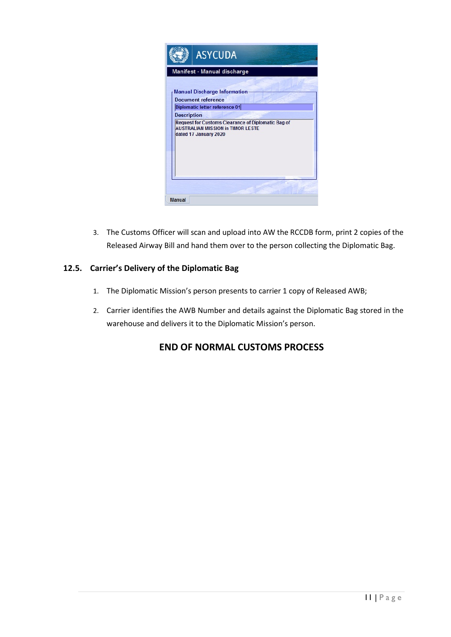

3. The Customs Officer will scan and upload into AW the RCCDB form, print 2 copies of the Released Airway Bill and hand them over to the person collecting the Diplomatic Bag.

#### **12.5. Carrier's Delivery of the Diplomatic Bag**

- 1. The Diplomatic Mission's person presents to carrier 1 copy of Released AWB;
- 2. Carrier identifies the AWB Number and details against the Diplomatic Bag stored in the warehouse and delivers it to the Diplomatic Mission's person.

# **END OF NORMAL CUSTOMS PROCESS**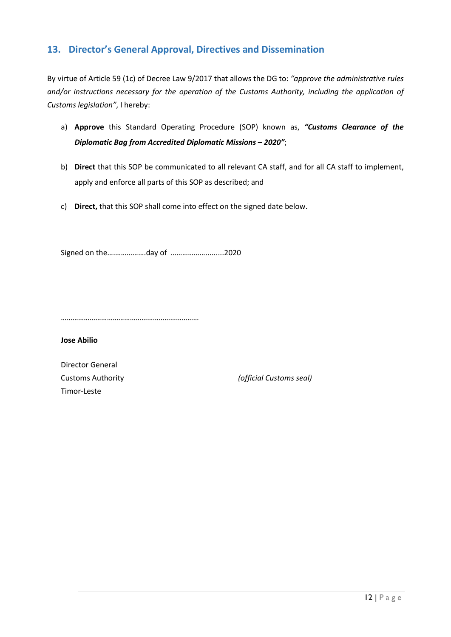# **13. Director's General Approval, Directives and Dissemination**

By virtue of Article 59 (1c) of Decree Law 9/2017 that allows the DG to: *"approve the administrative rules and/or instructions necessary for the operation of the Customs Authority, including the application of Customs legislation"*, I hereby:

- a) **Approve** this Standard Operating Procedure (SOP) known as, *"Customs Clearance of the Diplomatic Bag from Accredited Diplomatic Missions – 2020"*;
- b) **Direct** that this SOP be communicated to all relevant CA staff, and for all CA staff to implement, apply and enforce all parts of this SOP as described; and
- c) **Direct,** that this SOP shall come into effect on the signed date below.

Signed on the….…………….day of ……………….........2020

………………………………………………………………

**Jose Abilio**

Director General Timor-Leste

Customs Authority *(official Customs seal)*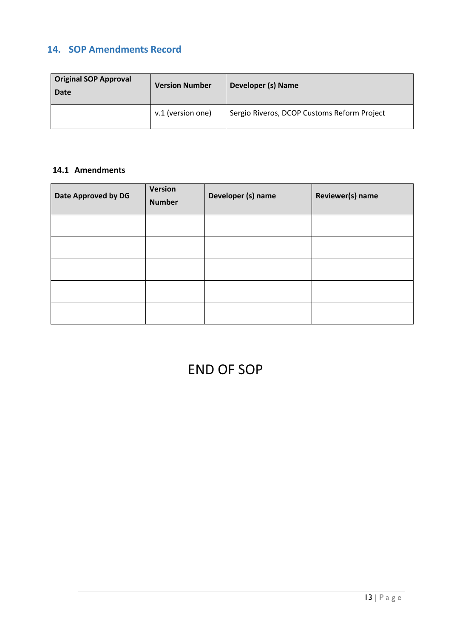# **14. SOP Amendments Record**

| <b>Original SOP Approval</b><br>Date | <b>Version Number</b> | Developer (s) Name                          |  |  |
|--------------------------------------|-----------------------|---------------------------------------------|--|--|
|                                      | v.1 (version one)     | Sergio Riveros, DCOP Customs Reform Project |  |  |

# **14.1 Amendments**

| Date Approved by DG | Version<br><b>Number</b> | Developer (s) name | Reviewer(s) name |
|---------------------|--------------------------|--------------------|------------------|
|                     |                          |                    |                  |
|                     |                          |                    |                  |
|                     |                          |                    |                  |
|                     |                          |                    |                  |
|                     |                          |                    |                  |

# END OF SOP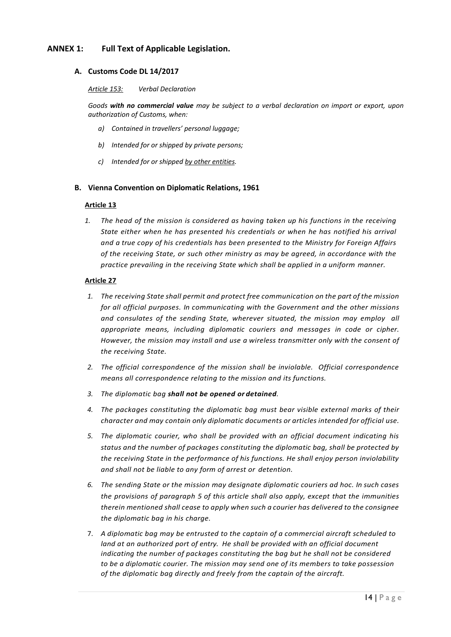#### **ANNEX 1: Full Text of Applicable Legislation.**

#### **A. Customs Code DL 14/2017**

#### *Article 153: Verbal Declaration*

*Goods with no commercial value may be subject to a verbal declaration on import or export, upon authorization of Customs, when:*

- *a) Contained in travellers' personal luggage;*
- *b) Intended for or shipped by private persons;*
- *c) Intended for or shipped by other entities.*

#### **B. Vienna Convention on Diplomatic Relations, 1961**

#### **Article 13**

*1. The head of the mission is considered as having taken up his functions in the receiving State either when he has presented his credentials or when he has notified his arrival and a true copy of his credentials has been presented to the Ministry for Foreign Affairs of the receiving State, or such other ministry as may be agreed, in accordance with the practice prevailing in the receiving State which shall be applied in a uniform manner.*

#### **Article 27**

- *1. The receiving State shall permit and protect free communication on the part of the mission for all official purposes. In communicating with the Government and the other missions and consulates of the sending State, wherever situated, the mission may employ all appropriate means, including diplomatic couriers and messages in code or cipher. However, the mission may install and use a wireless transmitter only with the consent of the receiving State.*
- *2. The official correspondence of the mission shall be inviolable. Official correspondence means all correspondence relating to the mission and its functions.*
- *3. The diplomatic bag shall not be opened or detained.*
- *4. The packages constituting the diplomatic bag must bear visible external marks of their character and may contain only diplomatic documents or articles intended for official use.*
- *5. The diplomatic courier, who shall be provided with an official document indicating his status and the number of packages constituting the diplomatic bag, shall be protected by the receiving State in the performance of his functions. He shall enjoy person inviolability and shall not be liable to any form of arrest or detention.*
- *6. The sending State or the mission may designate diplomatic couriers ad hoc. In such cases the provisions of paragraph 5 of this article shall also apply, except that the immunities therein mentioned shall cease to apply when such a courier has delivered to the consignee the diplomatic bag in his charge.*
- 7. *A diplomatic bag may be entrusted to the captain of a commercial aircraft scheduled to*  land at an authorized port of entry. He shall be provided with an official document *indicating the number of packages constituting the bag but he shall not be considered to be a diplomatic courier. The mission may send one of its members to take possession of the diplomatic bag directly and freely from the captain of the aircraft.*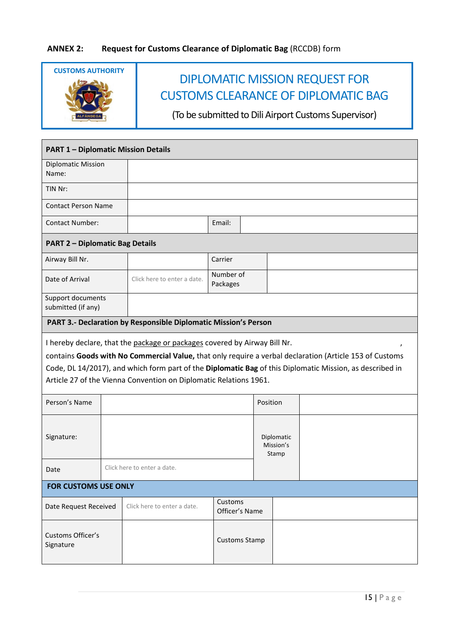

| <b>PART 1 - Diplomatic Mission Details</b>                                                                                                                                                                                                                                                                                                                            |  |                                                                 |                       |                      |                                  |  |
|-----------------------------------------------------------------------------------------------------------------------------------------------------------------------------------------------------------------------------------------------------------------------------------------------------------------------------------------------------------------------|--|-----------------------------------------------------------------|-----------------------|----------------------|----------------------------------|--|
| <b>Diplomatic Mission</b><br>Name:                                                                                                                                                                                                                                                                                                                                    |  |                                                                 |                       |                      |                                  |  |
| TIN Nr:                                                                                                                                                                                                                                                                                                                                                               |  |                                                                 |                       |                      |                                  |  |
| <b>Contact Person Name</b>                                                                                                                                                                                                                                                                                                                                            |  |                                                                 |                       |                      |                                  |  |
| <b>Contact Number:</b>                                                                                                                                                                                                                                                                                                                                                |  | Email:                                                          |                       |                      |                                  |  |
| <b>PART 2 - Diplomatic Bag Details</b>                                                                                                                                                                                                                                                                                                                                |  |                                                                 |                       |                      |                                  |  |
| Airway Bill Nr.                                                                                                                                                                                                                                                                                                                                                       |  |                                                                 | Carrier               |                      |                                  |  |
| Date of Arrival                                                                                                                                                                                                                                                                                                                                                       |  | Click here to enter a date.                                     | Number of<br>Packages |                      |                                  |  |
| Support documents<br>submitted (if any)                                                                                                                                                                                                                                                                                                                               |  |                                                                 |                       |                      |                                  |  |
|                                                                                                                                                                                                                                                                                                                                                                       |  | PART 3.- Declaration by Responsible Diplomatic Mission's Person |                       |                      |                                  |  |
| I hereby declare, that the package or packages covered by Airway Bill Nr.<br>contains Goods with No Commercial Value, that only require a verbal declaration (Article 153 of Customs<br>Code, DL 14/2017), and which form part of the Diplomatic Bag of this Diplomatic Mission, as described in<br>Article 27 of the Vienna Convention on Diplomatic Relations 1961. |  |                                                                 |                       |                      |                                  |  |
| Person's Name                                                                                                                                                                                                                                                                                                                                                         |  |                                                                 |                       |                      | Position                         |  |
| Signature:                                                                                                                                                                                                                                                                                                                                                            |  |                                                                 |                       |                      | Diplomatic<br>Mission's<br>Stamp |  |
| Date                                                                                                                                                                                                                                                                                                                                                                  |  | Click here to enter a date.                                     |                       |                      |                                  |  |
| <b>FOR CUSTOMS USE ONLY</b>                                                                                                                                                                                                                                                                                                                                           |  |                                                                 |                       |                      |                                  |  |
| Date Request Received                                                                                                                                                                                                                                                                                                                                                 |  | Click here to enter a date.                                     | Customs               | Officer's Name       |                                  |  |
| Customs Officer's<br>Signature                                                                                                                                                                                                                                                                                                                                        |  |                                                                 |                       | <b>Customs Stamp</b> |                                  |  |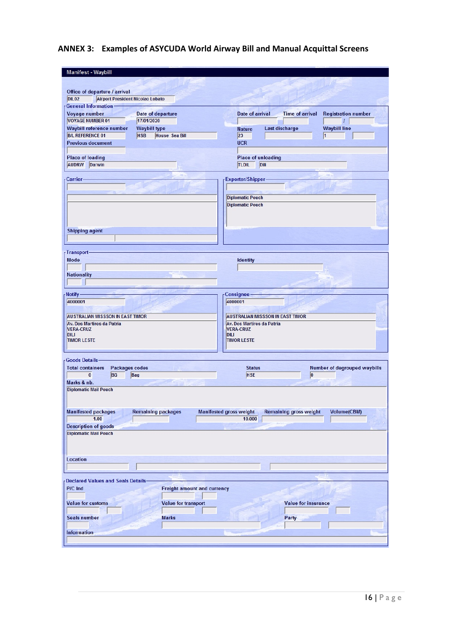# **ANNEX 3: Examples of ASYCUDA World Airway Bill and Manual Acquittal Screens**

| <b>Manifest - Waybill</b>                                                         |                                     |                                                                 |                                     |
|-----------------------------------------------------------------------------------|-------------------------------------|-----------------------------------------------------------------|-------------------------------------|
|                                                                                   |                                     |                                                                 |                                     |
|                                                                                   |                                     |                                                                 |                                     |
| Office of departure / arrival<br><b>DIL02</b><br>Airport President Nicolao Lobato |                                     |                                                                 |                                     |
| <b>General Information-</b>                                                       |                                     |                                                                 |                                     |
| Voyage number                                                                     | Date of departure                   | <b>Date of arrival</b><br><b>Time of arrival</b>                | <b>Registration number</b>          |
| <b>VOYAGE NUMBER 01</b>                                                           | 17/01/2020                          |                                                                 | $\overline{I}$                      |
| <b>Waybill reference number</b>                                                   | <b>Waybill type</b>                 | Last discharge<br><b>Nature</b>                                 | <b>Waybill line</b>                 |
| <b>B/L REFERENCE 01</b>                                                           | <b>HSB</b><br><b>House Sea Bill</b> | 23                                                              | 1                                   |
| <b>Previous document</b>                                                          |                                     | <b>UCR</b>                                                      |                                     |
|                                                                                   |                                     |                                                                 |                                     |
| <b>Place of loading</b>                                                           |                                     | <b>Place of unloading</b>                                       |                                     |
| <b>AUDRW</b><br>Darwin                                                            |                                     | <b>TLDIL</b><br>Dili                                            |                                     |
|                                                                                   |                                     |                                                                 |                                     |
| -Carrier-                                                                         |                                     | <b>Exporter/Shipper-</b>                                        |                                     |
|                                                                                   |                                     |                                                                 |                                     |
|                                                                                   |                                     | <b>Diplomatic Pouch</b>                                         |                                     |
|                                                                                   |                                     | <b>Diplomatic Pouch</b>                                         |                                     |
|                                                                                   |                                     |                                                                 |                                     |
|                                                                                   |                                     |                                                                 |                                     |
|                                                                                   |                                     |                                                                 |                                     |
| <b>Shipping agent</b>                                                             |                                     |                                                                 |                                     |
|                                                                                   |                                     |                                                                 |                                     |
| Transport-                                                                        |                                     |                                                                 |                                     |
| Mode                                                                              |                                     | <b>Identity</b>                                                 |                                     |
|                                                                                   |                                     |                                                                 |                                     |
| <b>Nationality</b>                                                                |                                     |                                                                 |                                     |
|                                                                                   |                                     |                                                                 |                                     |
|                                                                                   |                                     |                                                                 |                                     |
| Notify-                                                                           |                                     | Consignee                                                       |                                     |
| 4000001                                                                           |                                     | 4000001                                                         |                                     |
|                                                                                   |                                     |                                                                 |                                     |
| <b>AUSTRALIAN MISSSON IN EAST TIMOR</b>                                           |                                     | <b>AUSTRALIAN MISSSON IN EAST TIMOR</b>                         |                                     |
| Av. Dos Martires da Patria<br><b>VERA-CRUZ</b>                                    |                                     | Av. Dos Martires da Patria<br><b>VERA-CRUZ</b>                  |                                     |
| <b>DILI</b>                                                                       |                                     | <b>DILI</b>                                                     |                                     |
| <b>TIMOR LESTE</b>                                                                |                                     | <b>TIMOR LESTE</b>                                              |                                     |
|                                                                                   |                                     |                                                                 |                                     |
| <b>Goods Details-</b>                                                             |                                     |                                                                 |                                     |
| <b>Total containers</b><br><b>Packages codes</b>                                  |                                     | <b>Status</b>                                                   | <b>Number of degrouped waybills</b> |
| $\bf{0}$<br><b>BG</b>                                                             | Bag                                 | <b>HSE</b>                                                      | 0                                   |
| Marks & nb.                                                                       |                                     |                                                                 |                                     |
| <b>Diplomatic Mail Pouch</b>                                                      |                                     |                                                                 |                                     |
|                                                                                   |                                     |                                                                 |                                     |
|                                                                                   |                                     |                                                                 |                                     |
| <b>Manifested packages</b>                                                        | <b>Remaining packages</b>           | <b>Manifested gross weight</b><br><b>Remaining gross weight</b> | <b>Volume(CBM)</b>                  |
| 1.00                                                                              |                                     | 10.000                                                          |                                     |
| <b>Description of goods</b>                                                       |                                     |                                                                 |                                     |
| <b>Diplomatic Mail Pouch</b>                                                      |                                     |                                                                 |                                     |
|                                                                                   |                                     |                                                                 |                                     |
|                                                                                   |                                     |                                                                 |                                     |
| Location                                                                          |                                     |                                                                 |                                     |
|                                                                                   |                                     |                                                                 |                                     |
|                                                                                   |                                     |                                                                 |                                     |
| <b>Declared Values and Seals Details-</b>                                         |                                     |                                                                 |                                     |
| P/C Ind                                                                           | <b>Freight amount and currency</b>  |                                                                 |                                     |
|                                                                                   |                                     |                                                                 |                                     |
| <b>Value for customs</b>                                                          | <b>Value for transport</b>          |                                                                 | <b>Value for insurance</b>          |
|                                                                                   |                                     |                                                                 |                                     |
| <b>Seals number</b>                                                               | <b>Marks</b>                        | Party                                                           |                                     |
|                                                                                   |                                     |                                                                 |                                     |
| <b>Information</b>                                                                |                                     |                                                                 |                                     |
|                                                                                   |                                     |                                                                 |                                     |
|                                                                                   |                                     |                                                                 |                                     |